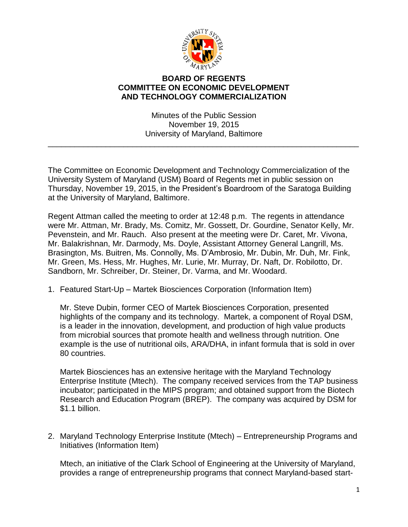

## **BOARD OF REGENTS COMMITTEE ON ECONOMIC DEVELOPMENT AND TECHNOLOGY COMMERCIALIZATION**

Minutes of the Public Session November 19, 2015 University of Maryland, Baltimore

\_\_\_\_\_\_\_\_\_\_\_\_\_\_\_\_\_\_\_\_\_\_\_\_\_\_\_\_\_\_\_\_\_\_\_\_\_\_\_\_\_\_\_\_\_\_\_\_\_\_\_\_\_\_\_\_\_\_\_\_\_\_\_\_\_\_\_\_\_\_

The Committee on Economic Development and Technology Commercialization of the University System of Maryland (USM) Board of Regents met in public session on Thursday, November 19, 2015, in the President's Boardroom of the Saratoga Building at the University of Maryland, Baltimore.

Regent Attman called the meeting to order at 12:48 p.m. The regents in attendance were Mr. Attman, Mr. Brady, Ms. Comitz, Mr. Gossett, Dr. Gourdine, Senator Kelly, Mr. Pevenstein, and Mr. Rauch. Also present at the meeting were Dr. Caret, Mr. Vivona, Mr. Balakrishnan, Mr. Darmody, Ms. Doyle, Assistant Attorney General Langrill, Ms. Brasington, Ms. Buitren, Ms. Connolly, Ms. D'Ambrosio, Mr. Dubin, Mr. Duh, Mr. Fink, Mr. Green, Ms. Hess, Mr. Hughes, Mr. Lurie, Mr. Murray, Dr. Naft, Dr. Robilotto, Dr. Sandborn, Mr. Schreiber, Dr. Steiner, Dr. Varma, and Mr. Woodard.

1. Featured Start-Up – Martek Biosciences Corporation (Information Item)

Mr. Steve Dubin, former CEO of Martek Biosciences Corporation, presented highlights of the company and its technology. Martek, a component of Royal DSM, is a leader in the innovation, development, and production of high value products from microbial sources that promote health and wellness through nutrition. One example is the use of nutritional oils, ARA/DHA, in infant formula that is sold in over 80 countries.

Martek Biosciences has an extensive heritage with the Maryland Technology Enterprise Institute (Mtech). The company received services from the TAP business incubator; participated in the MIPS program; and obtained support from the Biotech Research and Education Program (BREP). The company was acquired by DSM for \$1.1 billion.

2. Maryland Technology Enterprise Institute (Mtech) – Entrepreneurship Programs and Initiatives (Information Item)

Mtech, an initiative of the Clark School of Engineering at the University of Maryland, provides a range of entrepreneurship programs that connect Maryland-based start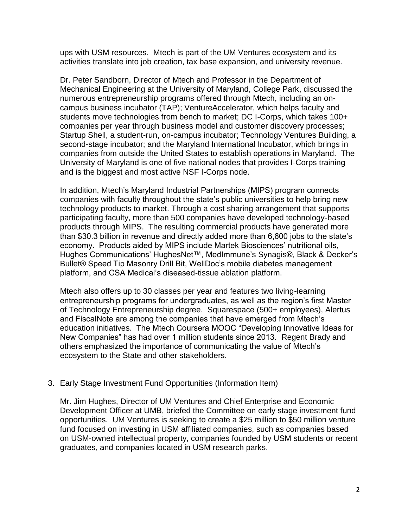ups with USM resources. Mtech is part of the UM Ventures ecosystem and its activities translate into job creation, tax base expansion, and university revenue.

Dr. Peter Sandborn, Director of Mtech and Professor in the Department of Mechanical Engineering at the University of Maryland, College Park, discussed the numerous entrepreneurship programs offered through Mtech, including an oncampus business incubator (TAP); VentureAccelerator, which helps faculty and students move technologies from bench to market; DC I-Corps, which takes 100+ companies per year through business model and customer discovery processes; Startup Shell, a student-run, on-campus incubator; Technology Ventures Building, a second-stage incubator; and the Maryland International Incubator, which brings in companies from outside the United States to establish operations in Maryland. The University of Maryland is one of five national nodes that provides I-Corps training and is the biggest and most active NSF I-Corps node.

In addition, Mtech's Maryland Industrial Partnerships (MIPS) program connects companies with faculty throughout the state's public universities to help bring new technology products to market. Through a cost sharing arrangement that supports participating faculty, more than 500 companies have developed technology-based products through MIPS. The resulting commercial products have generated more than \$30.3 billion in revenue and directly added more than 6,600 jobs to the state's economy. Products aided by MIPS include Martek Biosciences' nutritional oils, Hughes Communications' HughesNet™, MedImmune's Synagis®, Black & Decker's Bullet® Speed Tip Masonry Drill Bit, WellDoc's mobile diabetes management platform, and CSA Medical's diseased-tissue ablation platform.

Mtech also offers up to 30 classes per year and features two living-learning entrepreneurship programs for undergraduates, as well as the region's first Master of Technology Entrepreneurship degree. Squarespace (500+ employees), Alertus and FiscalNote are among the companies that have emerged from Mtech's education initiatives. The Mtech Coursera MOOC "Developing Innovative Ideas for New Companies" has had over 1 million students since 2013. Regent Brady and others emphasized the importance of communicating the value of Mtech's ecosystem to the State and other stakeholders.

3. Early Stage Investment Fund Opportunities (Information Item)

Mr. Jim Hughes, Director of UM Ventures and Chief Enterprise and Economic Development Officer at UMB, briefed the Committee on early stage investment fund opportunities. UM Ventures is seeking to create a \$25 million to \$50 million venture fund focused on investing in USM affiliated companies, such as companies based on USM-owned intellectual property, companies founded by USM students or recent graduates, and companies located in USM research parks.